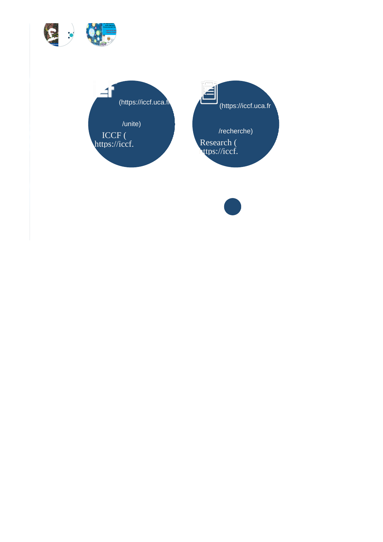



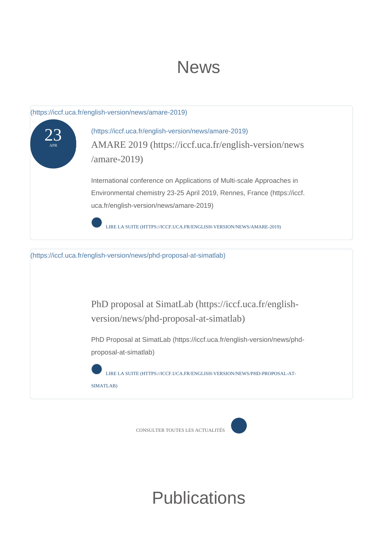# News



CONSULTER TOUTES LES ACTUALITÉS

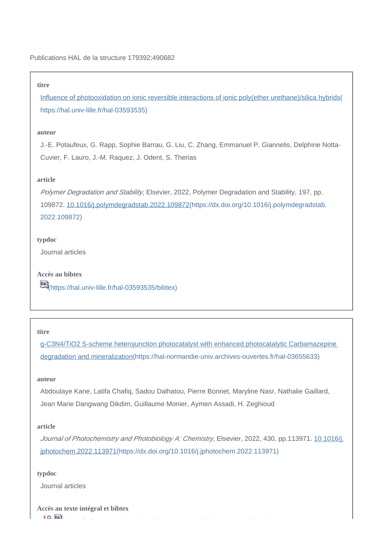### **titre**

[Influence of photooxidation on ionic reversible interactions of ionic poly\(ether urethane\)/silica hybrids\(](https://hal.univ-lille.fr/hal-03593535) [https://hal.univ-lille.fr/hal-03593535\)](https://hal.univ-lille.fr/hal-03593535)

# **auteur**

J.-E. Potaufeux, G. Rapp, Sophie Barrau, G. Liu, C. Zhang, Emmanuel P. Giannelis, Delphine Notta-Cuvier, F. Lauro, J.-M. Raquez, J. Odent, S. Therias

# **article**

Polymer Degradation and Stability, Elsevier, 2022, Polymer Degradation and Stability, 197, pp. 109872. [10.1016/j.polymdegradstab.2022.109872\(https://dx.doi.org/10.1016/j.polymdegradstab.](https://dx.doi.org/10.1016/j.polymdegradstab.2022.109872) [2022.109872\)](https://dx.doi.org/10.1016/j.polymdegradstab.2022.109872)

# **typdoc**

Journal articles

**Accès au bibtex** [\(https://hal.univ-lille.fr/hal-03593535/bibtex\)](https://hal.univ-lille.fr/hal-03593535/bibtex)

#### **titre**

[g-C3N4/TiO2 S-scheme heterojunction photocatalyst with enhanced photocatalytic Carbamazepine](https://hal-normandie-univ.archives-ouvertes.fr/hal-03655633)  [degradation and mineralization\(https://hal-normandie-univ.archives-ouvertes.fr/hal-03655633\)](https://hal-normandie-univ.archives-ouvertes.fr/hal-03655633)

## **auteur**

Abdoulaye Kane, Latifa Chafiq, Sadou Dalhatou, Pierre Bonnet, Maryline Nasr, Nathalie Gaillard, Jean Marie Dangwang Dikdim, Guillaume Monier, Aymen Assadi, H. Zeghioud

## **article**

Journal of Photochemistry and Photobiology A: Chemistry, Elsevier, 2022, 430, pp.113971. [10.1016/j.](https://dx.doi.org/10.1016/j.jphotochem.2022.113971) [jphotochem.2022.113971\(https://dx.doi.org/10.1016/j.jphotochem.2022.113971\)](https://dx.doi.org/10.1016/j.jphotochem.2022.113971)

[\(https://hal-normandie-univ.archives-ouvertes.fr/hal-03655633/bibtex\)](https://hal-normandie-univ.archives-ouvertes.fr/hal-03655633/bibtex)

### **typdoc**

Journal articles

**Accès au texte intégral et bibtex**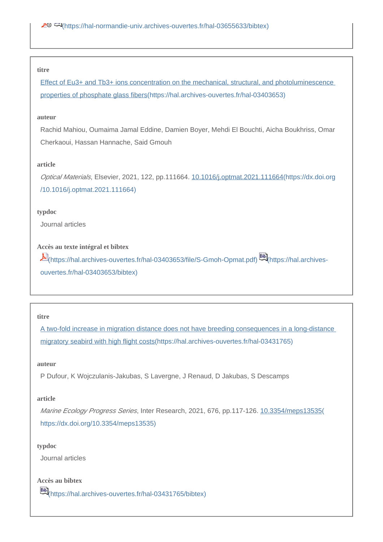#### **titre**

[Effect of Eu3+ and Tb3+ ions concentration on the mechanical, structural, and photoluminescence](https://hal.archives-ouvertes.fr/hal-03403653)  [properties of phosphate glass fibers\(https://hal.archives-ouvertes.fr/hal-03403653\)](https://hal.archives-ouvertes.fr/hal-03403653)

### **auteur**

Rachid Mahiou, Oumaima Jamal Eddine, Damien Boyer, Mehdi El Bouchti, Aicha Boukhriss, Omar Cherkaoui, Hassan Hannache, Said Gmouh

#### **article**

Optical Materials, Elsevier, 2021, 122, pp.111664. [10.1016/j.optmat.2021.111664\(https://dx.doi.org](https://dx.doi.org/10.1016/j.optmat.2021.111664) [/10.1016/j.optmat.2021.111664\)](https://dx.doi.org/10.1016/j.optmat.2021.111664)

#### **typdoc**

Journal articles

# **Accès au texte intégral et bibtex**

[\(https://hal.archives-ouvertes.fr/hal-03403653/file/S-Gmoh-Opmat.pdf\)](https://hal.archives-ouvertes.fr/hal-03403653/file/S-Gmoh-Opmat.pdf) [\(https://hal.archives](https://hal.archives-ouvertes.fr/hal-03403653/bibtex)[ouvertes.fr/hal-03403653/bibtex\)](https://hal.archives-ouvertes.fr/hal-03403653/bibtex)

#### **titre**

[A two-fold increase in migration distance does not have breeding consequences in a long-distance](https://hal.archives-ouvertes.fr/hal-03431765)  [migratory seabird with high flight costs\(https://hal.archives-ouvertes.fr/hal-03431765\)](https://hal.archives-ouvertes.fr/hal-03431765)

### **auteur**

P Dufour, K Wojczulanis-Jakubas, S Lavergne, J Renaud, D Jakubas, S Descamps

#### **article**

Marine Ecology Progress Series, Inter Research, 2021, 676, pp.117-126. [10.3354/meps13535\(](https://dx.doi.org/10.3354/meps13535) [https://dx.doi.org/10.3354/meps13535\)](https://dx.doi.org/10.3354/meps13535)

### **typdoc**

Journal articles

# **Accès au bibtex**

[\(https://hal.archives-ouvertes.fr/hal-03431765/bibtex\)](https://hal.archives-ouvertes.fr/hal-03431765/bibtex)